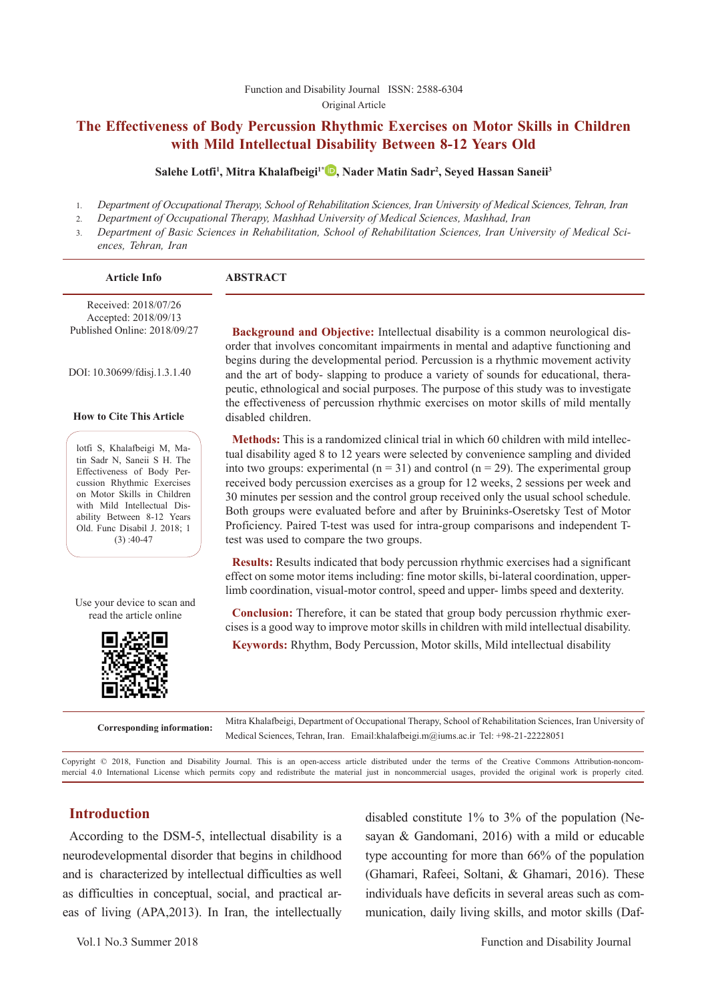#### [Function and Disability Journal ISSN: 2588-6304](http://fdj.iums.ac.ir/index.php?&slct_pg_id=10&sid=1&slc_lang=en)  Original Article

# **The Effectiveness of Body Percussion Rhythmic Exercises on Motor Skills in Children with Mild Intellectual Disability Between 8-12 Years Old**

#### **Salehe Lotfi1 , Mitra Khalafbeigi1[\\*](http://orcid.org/0000-0003-3247-8968) , Nader Matin Sadr2 , Seyed Hassan Saneii3**

- 1. *Department of Occupational Therapy, School of Rehabilitation Sciences, Iran University of Medical Sciences, Tehran, Iran*
- 2. *Department of Occupational Therapy, Mashhad University of Medical Sciences, Mashhad, Iran*

3. *Department of Basic Sciences in Rehabilitation, School of Rehabilitation Sciences, Iran University of Medical Sciences, Tehran, Iran*

| <b>Article Info</b>                                                                                                                                                                                                                                                | <b>ABSTRACT</b>                                                                                                                                                                                                                                                                                                                                                                                                                                                                                                                                                                                                                                                                           |  |  |  |  |  |  |
|--------------------------------------------------------------------------------------------------------------------------------------------------------------------------------------------------------------------------------------------------------------------|-------------------------------------------------------------------------------------------------------------------------------------------------------------------------------------------------------------------------------------------------------------------------------------------------------------------------------------------------------------------------------------------------------------------------------------------------------------------------------------------------------------------------------------------------------------------------------------------------------------------------------------------------------------------------------------------|--|--|--|--|--|--|
| Received: 2018/07/26<br>Accepted: 2018/09/13<br>Published Online: 2018/09/27<br>DOI: 10.30699/fdisj.1.3.1.40                                                                                                                                                       | <b>Background and Objective:</b> Intellectual disability is a common neurological dis-<br>order that involves concomitant impairments in mental and adaptive functioning and<br>begins during the developmental period. Percussion is a rhythmic movement activity<br>and the art of body-slapping to produce a variety of sounds for educational, thera-<br>peutic, ethnological and social purposes. The purpose of this study was to investigate<br>the effectiveness of percussion rhythmic exercises on motor skills of mild mentally                                                                                                                                                |  |  |  |  |  |  |
| <b>How to Cite This Article</b>                                                                                                                                                                                                                                    | disabled children.                                                                                                                                                                                                                                                                                                                                                                                                                                                                                                                                                                                                                                                                        |  |  |  |  |  |  |
| lotfi S, Khalafbeigi M, Ma-<br>tin Sadr N, Saneii S H. The<br>Effectiveness of Body Per-<br>cussion Rhythmic Exercises<br>on Motor Skills in Children<br>with Mild Intellectual Dis-<br>ability Between 8-12 Years<br>Old. Func Disabil J. 2018; 1<br>$(3)$ :40-47 | <b>Methods:</b> This is a randomized clinical trial in which 60 children with mild intellec-<br>tual disability aged 8 to 12 years were selected by convenience sampling and divided<br>into two groups: experimental ( $n = 31$ ) and control ( $n = 29$ ). The experimental group<br>received body percussion exercises as a group for 12 weeks, 2 sessions per week and<br>30 minutes per session and the control group received only the usual school schedule.<br>Both groups were evaluated before and after by Bruininks-Oseretsky Test of Motor<br>Proficiency. Paired T-test was used for intra-group comparisons and independent T-<br>test was used to compare the two groups. |  |  |  |  |  |  |
|                                                                                                                                                                                                                                                                    | <b>Results:</b> Results indicated that body percussion rhythmic exercises had a significant<br>effect on some motor items including: fine motor skills, bi-lateral coordination, upper-<br>limb coordination, visual-motor control, speed and upper-limbs speed and dexterity.                                                                                                                                                                                                                                                                                                                                                                                                            |  |  |  |  |  |  |
| Use your device to scan and<br>read the article online                                                                                                                                                                                                             | Conclusion: Therefore, it can be stated that group body percussion rhythmic exer-<br>cises is a good way to improve motor skills in children with mild intellectual disability.<br>Keywords: Rhythm, Body Percussion, Motor skills, Mild intellectual disability                                                                                                                                                                                                                                                                                                                                                                                                                          |  |  |  |  |  |  |
| <b>Corresponding information:</b>                                                                                                                                                                                                                                  | Mitra Khalafbeigi, Department of Occupational Therapy, School of Rehabilitation Sciences, Iran University of<br>Medical Sciences, Tehran, Iran. Email:khalafbeigi.m@iums.ac.ir Tel: +98-21-22228051                                                                                                                                                                                                                                                                                                                                                                                                                                                                                       |  |  |  |  |  |  |
|                                                                                                                                                                                                                                                                    | Copyright © 2018, Function and Disability Journal. This is an open-access article distributed under the terms of the Creative Commons Attribution-noncom-<br>mercial 4.0 International License which permits copy and redistribute the material just in noncommercial usages, provided the original work is properly cited.                                                                                                                                                                                                                                                                                                                                                               |  |  |  |  |  |  |
|                                                                                                                                                                                                                                                                    |                                                                                                                                                                                                                                                                                                                                                                                                                                                                                                                                                                                                                                                                                           |  |  |  |  |  |  |
| <b>Introduction</b>                                                                                                                                                                                                                                                | disabled constitute $1\%$ to $3\%$ of the population (Ne-                                                                                                                                                                                                                                                                                                                                                                                                                                                                                                                                                                                                                                 |  |  |  |  |  |  |
| According to the DSM-5, intellectual disability is a                                                                                                                                                                                                               | sayan & Gandomani, 2016) with a mild or educable                                                                                                                                                                                                                                                                                                                                                                                                                                                                                                                                                                                                                                          |  |  |  |  |  |  |
| neurodevelopmental disorder that begins in childhood                                                                                                                                                                                                               | type accounting for more than 66% of the population                                                                                                                                                                                                                                                                                                                                                                                                                                                                                                                                                                                                                                       |  |  |  |  |  |  |
| and is characterized by intellectual difficulties as well                                                                                                                                                                                                          | (Ghamari, Rafeei, Soltani, & Ghamari, 2016). These                                                                                                                                                                                                                                                                                                                                                                                                                                                                                                                                                                                                                                        |  |  |  |  |  |  |

as difficulties in conceptual, social, and practical areas of living (APA,2013). In Iran, the intellectually individuals have deficits in several areas such as communication, daily living skills, and motor skills (Daf-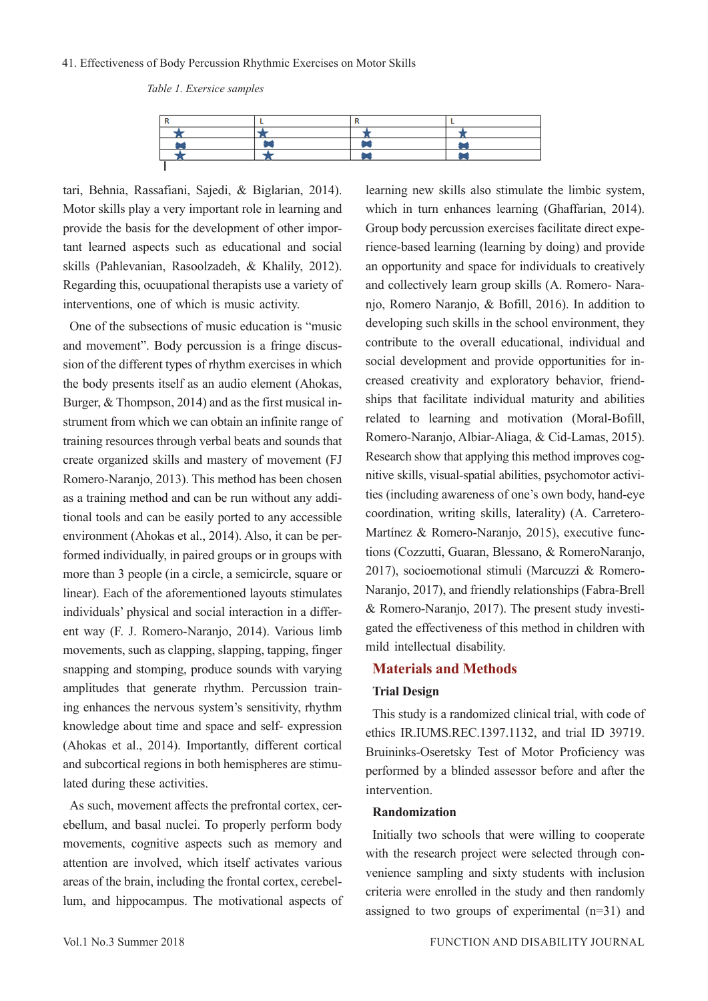#### 41. Effectiveness of Body Percussion Rhythmic Exercises on Motor Skills

*Table 1. Exersice samples*



tari, Behnia, Rassafiani, Sajedi, & Biglarian, 2014). Motor skills play a very important role in learning and provide the basis for the development of other important learned aspects such as educational and social skills (Pahlevanian, Rasoolzadeh, & Khalily, 2012). Regarding this, ocuupational therapists use a variety of interventions, one of which is music activity.

One of the subsections of music education is "music and movement". Body percussion is a fringe discussion of the different types of rhythm exercises in which the body presents itself as an audio element (Ahokas, Burger, & Thompson, 2014) and as the first musical instrument from which we can obtain an infinite range of training resources through verbal beats and sounds that create organized skills and mastery of movement (FJ Romero-Naranjo, 2013). This method has been chosen as a training method and can be run without any additional tools and can be easily ported to any accessible environment (Ahokas et al., 2014). Also, it can be performed individually, in paired groups or in groups with more than 3 people (in a circle, a semicircle, square or linear). Each of the aforementioned layouts stimulates individuals' physical and social interaction in a different way (F. J. Romero-Naranjo, 2014). Various limb movements, such as clapping, slapping, tapping, finger snapping and stomping, produce sounds with varying amplitudes that generate rhythm. Percussion training enhances the nervous system's sensitivity, rhythm knowledge about time and space and self- expression (Ahokas et al., 2014). Importantly, different cortical and subcortical regions in both hemispheres are stimulated during these activities.

As such, movement affects the prefrontal cortex, cerebellum, and basal nuclei. To properly perform body movements, cognitive aspects such as memory and attention are involved, which itself activates various areas of the brain, including the frontal cortex, cerebellum, and hippocampus. The motivational aspects of learning new skills also stimulate the limbic system, which in turn enhances learning (Ghaffarian, 2014). Group body percussion exercises facilitate direct experience-based learning (learning by doing) and provide an opportunity and space for individuals to creatively and collectively learn group skills (A. Romero- Naranjo, Romero Naranjo, & Bofill, 2016). In addition to developing such skills in the school environment, they contribute to the overall educational, individual and social development and provide opportunities for increased creativity and exploratory behavior, friendships that facilitate individual maturity and abilities related to learning and motivation (Moral-Bofill, Romero-Naranjo, Albiar-Aliaga, & Cid-Lamas, 2015). Research show that applying this method improves cognitive skills, visual-spatial abilities, psychomotor activities (including awareness of one's own body, hand-eye coordination, writing skills, laterality) (A. Carretero-Martínez & Romero-Naranjo, 2015), executive functions (Cozzutti, Guaran, Blessano, & RomeroNaranjo, 2017), socioemotional stimuli (Marcuzzi & Romero-Naranjo, 2017), and friendly relationships (Fabra-Brell & Romero-Naranjo, 2017). The present study investigated the effectiveness of this method in children with mild intellectual disability.

# **Materials and Methods**

#### **Trial Design**

This study is a randomized clinical trial, with code of ethics IR.IUMS.REC.1397.1132, and trial ID 39719. Bruininks-Oseretsky Test of Motor Proficiency was performed by a blinded assessor before and after the intervention.

# **Randomization**

Initially two schools that were willing to cooperate with the research project were selected through convenience sampling and sixty students with inclusion criteria were enrolled in the study and then randomly assigned to two groups of experimental (n=31) and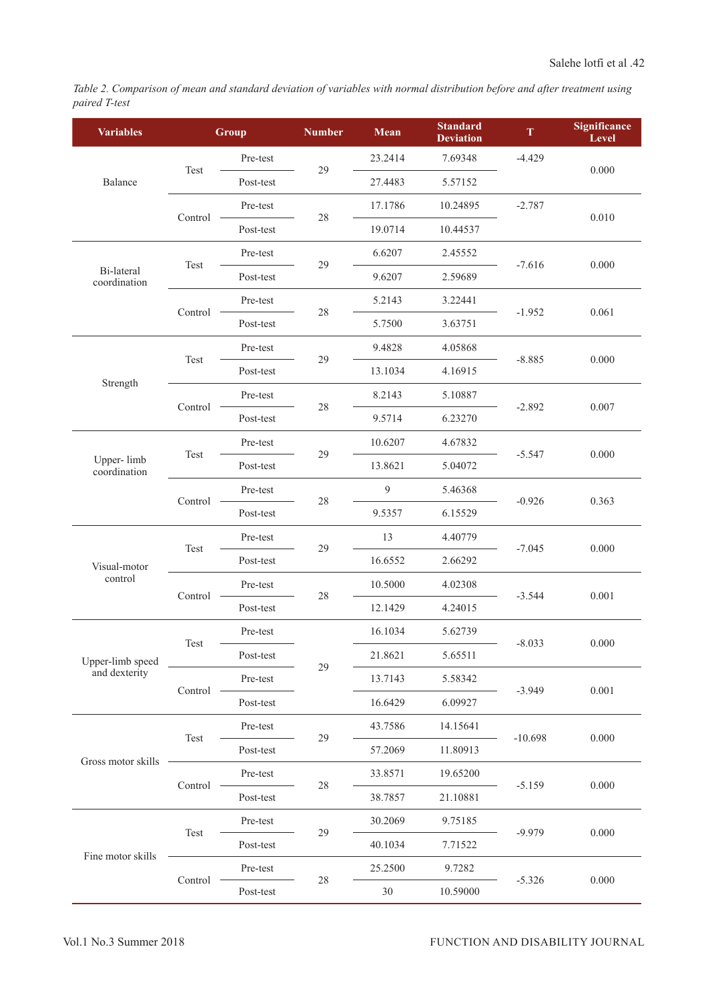*Table 2. Comparison of mean and standard deviation of variables with normal distribution before and after treatment using paired T-test*

| <b>Variables</b>           |         | <b>Group</b> | <b>Number</b> | Mean    | <b>Standard</b><br><b>Deviation</b> | T         | Significance<br>Level |
|----------------------------|---------|--------------|---------------|---------|-------------------------------------|-----------|-----------------------|
| Balance                    |         | Pre-test     |               | 23.2414 | 7.69348                             | $-4.429$  | 0.000                 |
|                            | Test    | Post-test    | 29            | 27.4483 | 5.57152                             |           |                       |
|                            |         | Pre-test     |               | 17.1786 | 10.24895                            | $-2.787$  |                       |
|                            | Control | Post-test    | $28\,$        | 19.0714 | 10.44537                            |           | 0.010                 |
|                            |         | Pre-test     |               | 6.6207  | 2.45552                             | $-7.616$  | 0.000                 |
| Bi-lateral<br>coordination | Test    | Post-test    | 29            | 9.6207  | 2.59689                             |           |                       |
|                            |         | Pre-test     |               | 5.2143  | 3.22441                             | $-1.952$  |                       |
|                            | Control | Post-test    | $28\,$        | 5.7500  | 3.63751                             |           | 0.061                 |
|                            |         | Pre-test     |               | 9.4828  | 4.05868                             |           |                       |
|                            | Test    | Post-test    | 29            | 13.1034 | 4.16915                             | $-8.885$  | 0.000                 |
| Strength                   |         | Pre-test     |               | 8.2143  | 5.10887                             |           | 0.007                 |
|                            | Control | Post-test    | $28\,$        | 9.5714  | 6.23270                             | $-2.892$  |                       |
|                            |         | Pre-test     |               | 10.6207 | 4.67832                             |           | 0.000                 |
| Upper-limb<br>coordination | Test    | Post-test    | 29            | 13.8621 | 5.04072                             | $-5.547$  |                       |
|                            | Control | Pre-test     |               | 9       | 5.46368                             | $-0.926$  | 0.363                 |
|                            |         | Post-test    | $28\,$        | 9.5357  | 6.15529                             |           |                       |
| Visual-motor               | Test    | Pre-test     |               | 13      | 4.40779                             | $-7.045$  | 0.000                 |
|                            |         | Post-test    | 29            | 16.6552 | 2.66292                             |           |                       |
| control                    |         | Pre-test     |               | 10.5000 | 4.02308                             |           |                       |
|                            | Control | Post-test    | $28\,$        | 12.1429 | 4.24015                             | $-3.544$  | 0.001                 |
|                            |         | Pre-test     |               | 16.1034 | 5.62739                             |           |                       |
| Upper-limb speed           | Test    | Post-test    |               | 21.8621 | 5.65511                             | $-8.033$  | 0.000                 |
| and dexterity              |         | Pre-test     | 29            | 13.7143 | 5.58342                             |           | 0.001                 |
|                            | Control | Post-test    |               | 16.6429 | 6.09927                             | $-3.949$  |                       |
|                            |         | Pre-test     |               | 43.7586 | 14.15641                            |           |                       |
|                            | Test    | Post-test    | 29            | 57.2069 | 11.80913                            | $-10.698$ | 0.000                 |
| Gross motor skills         |         | Pre-test     |               | 33.8571 | 19.65200                            |           |                       |
|                            | Control | Post-test    | $28\,$        | 38.7857 | 21.10881                            | $-5.159$  | 0.000                 |
|                            | Test    | Pre-test     |               | 30.2069 | 9.75185                             |           | 0.000                 |
|                            |         | Post-test    | 29            | 40.1034 | 7.71522                             | $-9.979$  |                       |
| Fine motor skills          | Control | Pre-test     |               | 25.2500 | 9.7282                              |           | 0.000                 |
|                            |         | Post-test    | $28\,$        | 30      | 10.59000                            | $-5.326$  |                       |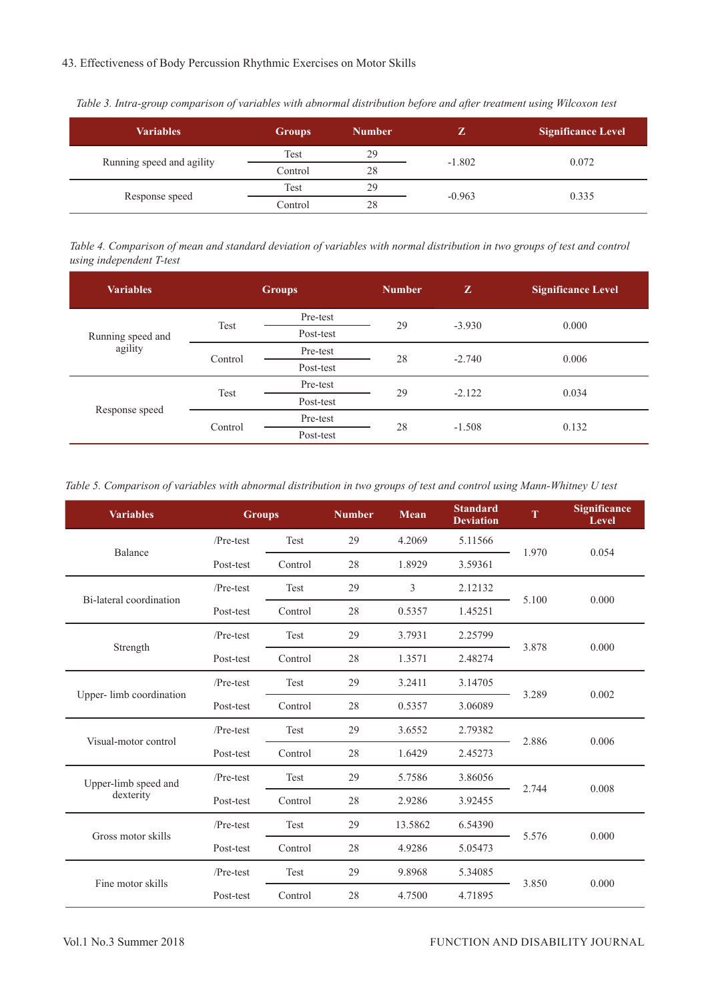| Table 3. Intra-group comparison of variables with abnormal distribution before and after treatment using Wilcoxon test |  |  |  |  |
|------------------------------------------------------------------------------------------------------------------------|--|--|--|--|
|                                                                                                                        |  |  |  |  |

| <b>Variables</b>          | <b>Groups</b> | <b>Number</b> | Z        | <b>Significance Level</b> |
|---------------------------|---------------|---------------|----------|---------------------------|
|                           | Test          | 29            | $-1.802$ | 0.072                     |
| Running speed and agility | Control       | 28            |          |                           |
| Response speed            | Test          | 29            |          |                           |
|                           | Control       | 28            | $-0.963$ | 0.335                     |

*Table 4. Comparison of mean and standard deviation of variables with normal distribution in two groups of test and control using independent T-test*

| <b>Variables</b>  |         | <b>Groups</b> |    | $\mathbf{Z}$ | <b>Significance Level</b> |  |
|-------------------|---------|---------------|----|--------------|---------------------------|--|
|                   | Test    | Pre-test      | 29 | $-3.930$     | 0.000                     |  |
| Running speed and |         | Post-test     |    |              |                           |  |
| agility           | Control | Pre-test      | 28 | $-2.740$     | 0.006                     |  |
|                   |         | Post-test     |    |              |                           |  |
| Response speed    | Test    | Pre-test      | 29 | $-2.122$     | 0.034                     |  |
|                   |         | Post-test     |    |              |                           |  |
|                   | Control | Pre-test      | 28 | $-1.508$     | 0.132                     |  |
|                   |         | Post-test     |    |              |                           |  |
|                   |         |               |    |              |                           |  |

*Table 5. Comparison of variables with abnormal distribution in two groups of test and control using Mann-Whitney U test*

| <b>Variables</b>         | <b>Groups</b> |             | <b>Number</b> | <b>Mean</b> | <b>Standard</b><br><b>Deviation</b> | h     | <b>Significance</b><br>Level |  |
|--------------------------|---------------|-------------|---------------|-------------|-------------------------------------|-------|------------------------------|--|
|                          | /Pre-test     | Test        | 29            | 4.2069      | 5.11566                             | 1.970 |                              |  |
| Balance                  | Post-test     | Control     | 28            | 1.8929      | 3.59361                             |       | 0.054                        |  |
|                          | $/Pre-test$   | Test        | 29            | 3           | 2.12132                             |       |                              |  |
| Bi-lateral coordination  | Post-test     | Control     | 28            | 0.5357      | 1.45251                             | 5.100 | 0.000                        |  |
|                          | $/Pre-test$   | <b>Test</b> | 29            | 3.7931      | 2.25799                             | 3.878 | 0.000                        |  |
| Strength                 | Post-test     | Control     | 28            | 1.3571      | 2.48274                             |       |                              |  |
| Upper- limb coordination | $/Pre-test$   | Test        | 29            | 3.2411      | 3.14705                             |       | 0.002                        |  |
|                          | Post-test     | Control     | 28            | 0.5357      | 3.06089                             | 3.289 |                              |  |
| Visual-motor control     | $/Pre-test$   | Test        | 29            | 3.6552      | 2.79382                             |       | 0.006                        |  |
|                          | Post-test     | Control     | 28            | 1.6429      | 2.45273                             | 2.886 |                              |  |
| Upper-limb speed and     | /Pre-test     | Test        | 29            | 5.7586      | 3.86056                             |       |                              |  |
| dexterity                | Post-test     | Control     | 28            | 2.9286      | 3.92455                             | 2.744 | 0.008                        |  |
| Gross motor skills       | $/Pre-test$   | Test        | 29            | 13.5862     | 6.54390                             |       |                              |  |
|                          | Post-test     | Control     | 28            | 4.9286      | 5.05473                             | 5.576 | 0.000                        |  |
| Fine motor skills        | $/Pre-test$   | <b>Test</b> | 29            | 9.8968      | 5.34085                             |       | 0.000                        |  |
|                          | Post-test     | Control     | 28            | 4.7500      | 4.71895                             | 3.850 |                              |  |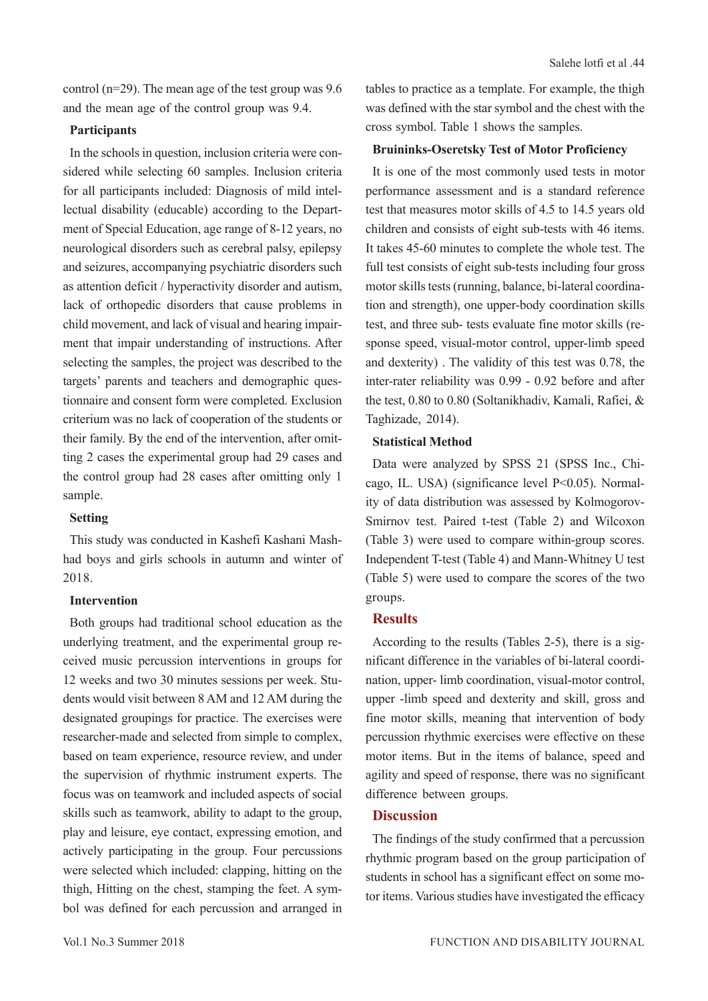control (n=29). The mean age of the test group was 9.6 and the mean age of the control group was 9.4.

## **Participants**

In the schools in question, inclusion criteria were considered while selecting 60 samples. Inclusion criteria for all participants included: Diagnosis of mild intellectual disability (educable) according to the Department of Special Education, age range of 8-12 years, no neurological disorders such as cerebral palsy, epilepsy and seizures, accompanying psychiatric disorders such as attention deficit / hyperactivity disorder and autism, lack of orthopedic disorders that cause problems in child movement, and lack of visual and hearing impairment that impair understanding of instructions. After selecting the samples, the project was described to the targets' parents and teachers and demographic questionnaire and consent form were completed. Exclusion criterium was no lack of cooperation of the students or their family. By the end of the intervention, after omitting 2 cases the experimental group had 29 cases and the control group had 28 cases after omitting only 1 sample.

# **Setting**

This study was conducted in Kashefi Kashani Mashhad boys and girls schools in autumn and winter of 2018.

#### **Intervention**

Both groups had traditional school education as the underlying treatment, and the experimental group received music percussion interventions in groups for 12 weeks and two 30 minutes sessions per week. Students would visit between 8 AM and 12 AM during the designated groupings for practice. The exercises were researcher-made and selected from simple to complex, based on team experience, resource review, and under the supervision of rhythmic instrument experts. The focus was on teamwork and included aspects of social skills such as teamwork, ability to adapt to the group, play and leisure, eye contact, expressing emotion, and actively participating in the group. Four percussions were selected which included: clapping, hitting on the thigh, Hitting on the chest, stamping the feet. A symbol was defined for each percussion and arranged in

tables to practice as a template. For example, the thigh was defined with the star symbol and the chest with the cross symbol. Table 1 shows the samples.

### **Bruininks-Oseretsky Test of Motor Proficiency**

It is one of the most commonly used tests in motor performance assessment and is a standard reference test that measures motor skills of 4.5 to 14.5 years old children and consists of eight sub-tests with 46 items. It takes 45-60 minutes to complete the whole test. The full test consists of eight sub-tests including four gross motor skills tests (running, balance, bi-lateral coordination and strength), one upper-body coordination skills test, and three sub- tests evaluate fine motor skills (response speed, visual-motor control, upper-limb speed and dexterity) . The validity of this test was 0.78, the inter-rater reliability was 0.99 - 0.92 before and after the test, 0.80 to 0.80 (Soltanikhadiv, Kamali, Rafiei, & Taghizade, 2014).

## **Statistical Method**

Data were analyzed by SPSS 21 (SPSS Inc., Chicago, IL. USA) (significance level P<0.05). Normality of data distribution was assessed by Kolmogorov-Smirnov test. Paired t-test (Table 2) and Wilcoxon (Table 3) were used to compare within-group scores. Independent T-test (Table 4) and Mann-Whitney U test (Table 5) were used to compare the scores of the two groups.

## **Results**

According to the results (Tables 2-5), there is a significant difference in the variables of bi-lateral coordination, upper- limb coordination, visual-motor control, upper -limb speed and dexterity and skill, gross and fine motor skills, meaning that intervention of body percussion rhythmic exercises were effective on these motor items. But in the items of balance, speed and agility and speed of response, there was no significant difference between groups.

# **Discussion**

The findings of the study confirmed that a percussion rhythmic program based on the group participation of students in school has a significant effect on some motor items. Various studies have investigated the efficacy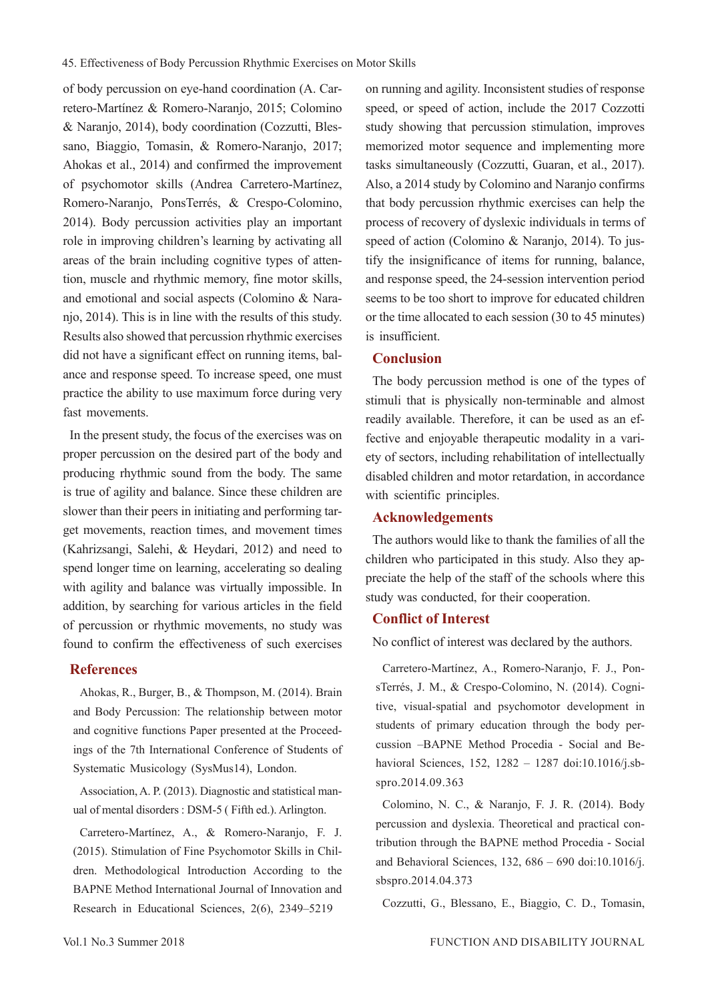of body percussion on eye-hand coordination (A. Carretero-Martínez & Romero-Naranjo, 2015; Colomino & Naranjo, 2014), body coordination (Cozzutti, Blessano, Biaggio, Tomasin, & Romero-Naranjo, 2017; Ahokas et al., 2014) and confirmed the improvement of psychomotor skills (Andrea Carretero-Martínez, Romero-Naranjo, PonsTerrés, & Crespo-Colomino, 2014). Body percussion activities play an important role in improving children's learning by activating all areas of the brain including cognitive types of attention, muscle and rhythmic memory, fine motor skills, and emotional and social aspects (Colomino & Naranjo, 2014). This is in line with the results of this study. Results also showed that percussion rhythmic exercises did not have a significant effect on running items, balance and response speed. To increase speed, one must practice the ability to use maximum force during very fast movements.

In the present study, the focus of the exercises was on proper percussion on the desired part of the body and producing rhythmic sound from the body. The same is true of agility and balance. Since these children are slower than their peers in initiating and performing target movements, reaction times, and movement times (Kahrizsangi, Salehi, & Heydari, 2012) and need to spend longer time on learning, accelerating so dealing with agility and balance was virtually impossible. In addition, by searching for various articles in the field of percussion or rhythmic movements, no study was found to confirm the effectiveness of such exercises

## **References**

Ahokas, R., Burger, B., & Thompson, M. (2014). Brain and Body Percussion: The relationship between motor and cognitive functions Paper presented at the Proceedings of the 7th International Conference of Students of Systematic Musicology (SysMus14), London.

Association, A. P. (2013). Diagnostic and statistical manual of mental disorders : DSM-5 ( Fifth ed.). Arlington.

Carretero-Martínez, A., & Romero-Naranjo, F. J. (2015). Stimulation of Fine Psychomotor Skills in Children. Methodological Introduction According to the BAPNE Method International Journal of Innovation and Research in Educational Sciences, 2(6), 2349–5219

on running and agility. Inconsistent studies of response speed, or speed of action, include the 2017 Cozzotti study showing that percussion stimulation, improves memorized motor sequence and implementing more tasks simultaneously (Cozzutti, Guaran, et al., 2017). Also, a 2014 study by Colomino and Naranjo confirms that body percussion rhythmic exercises can help the process of recovery of dyslexic individuals in terms of speed of action (Colomino & Naranjo, 2014). To justify the insignificance of items for running, balance, and response speed, the 24-session intervention period seems to be too short to improve for educated children or the time allocated to each session (30 to 45 minutes) is insufficient.

# **Conclusion**

The body percussion method is one of the types of stimuli that is physically non-terminable and almost readily available. Therefore, it can be used as an effective and enjoyable therapeutic modality in a variety of sectors, including rehabilitation of intellectually disabled children and motor retardation, in accordance with scientific principles.

# **Acknowledgements**

The authors would like to thank the families of all the children who participated in this study. Also they appreciate the help of the staff of the schools where this study was conducted, for their cooperation.

# **Conflict of Interest**

No conflict of interest was declared by the authors.

Carretero-Martínez, A., Romero-Naranjo, F. J., PonsTerrés, J. M., & Crespo-Colomino, N. (2014). Cognitive, visual-spatial and psychomotor development in students of primary education through the body percussion –BAPNE Method Procedia - Social and Behavioral Sciences, 152, 1282 – 1287 doi:10.1016/j.sbspro.2014.09.363

Colomino, N. C., & Naranjo, F. J. R. (2014). Body percussion and dyslexia. Theoretical and practical contribution through the BAPNE method Procedia - Social and Behavioral Sciences, 132, 686 – 690 doi:10.1016/j. sbspro.2014.04.373

Cozzutti, G., Blessano, E., Biaggio, C. D., Tomasin,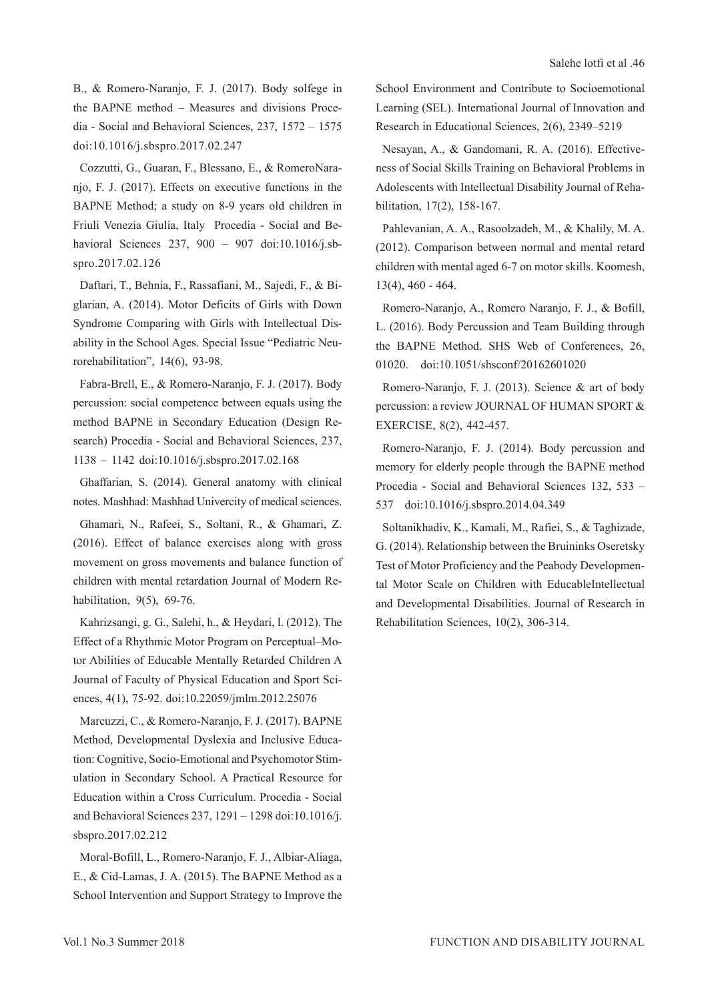B., & Romero-Naranjo, F. J. (2017). Body solfege in the BAPNE method – Measures and divisions Procedia - Social and Behavioral Sciences, 237, 1572 – 1575 doi:10.1016/j.sbspro.2017.02.247

Cozzutti, G., Guaran, F., Blessano, E., & RomeroNaranjo, F. J. (2017). Effects on executive functions in the BAPNE Method; a study on 8-9 years old children in Friuli Venezia Giulia, Italy Procedia - Social and Behavioral Sciences 237, 900 – 907 doi:10.1016/j.sbspro.2017.02.126

Daftari, T., Behnia, F., Rassafiani, M., Sajedi, F., & Biglarian, A. (2014). Motor Deficits of Girls with Down Syndrome Comparing with Girls with Intellectual Disability in the School Ages. Special Issue "Pediatric Neurorehabilitation", 14(6), 93-98.

Fabra-Brell, E., & Romero-Naranjo, F. J. (2017). Body percussion: social competence between equals using the method BAPNE in Secondary Education (Design Research) Procedia - Social and Behavioral Sciences, 237, 1138 – 1142 doi:10.1016/j.sbspro.2017.02.168

Ghaffarian, S. (2014). General anatomy with clinical notes. Mashhad: Mashhad Univercity of medical sciences.

Ghamari, N., Rafeei, S., Soltani, R., & Ghamari, Z. (2016). Effect of balance exercises along with gross movement on gross movements and balance function of children with mental retardation Journal of Modern Rehabilitation, 9(5), 69-76.

Kahrizsangi, g. G., Salehi, h., & Heydari, l. (2012). The Effect of a Rhythmic Motor Program on Perceptual–Motor Abilities of Educable Mentally Retarded Children A Journal of Faculty of Physical Education and Sport Sciences, 4(1), 75-92. doi:10.22059/jmlm.2012.25076

Marcuzzi, C., & Romero-Naranjo, F. J. (2017). BAPNE Method, Developmental Dyslexia and Inclusive Education: Cognitive, Socio-Emotional and Psychomotor Stimulation in Secondary School. A Practical Resource for Education within a Cross Curriculum. Procedia - Social and Behavioral Sciences 237, 1291 – 1298 doi:10.1016/j. sbspro.2017.02.212

Moral-Bofill, L., Romero-Naranjo, F. J., Albiar-Aliaga, E., & Cid-Lamas, J. A. (2015). The BAPNE Method as a School Intervention and Support Strategy to Improve the School Environment and Contribute to Socioemotional Learning (SEL). International Journal of Innovation and Research in Educational Sciences, 2(6), 2349–5219

Nesayan, A., & Gandomani, R. A. (2016). Effectiveness of Social Skills Training on Behavioral Problems in Adolescents with Intellectual Disability Journal of Rehabilitation, 17(2), 158-167.

Pahlevanian, A. A., Rasoolzadeh, M., & Khalily, M. A. (2012). Comparison between normal and mental retard children with mental aged 6-7 on motor skills. Koomesh, 13(4), 460 - 464.

Romero-Naranjo, A., Romero Naranjo, F. J., & Bofill, L. (2016). Body Percussion and Team Building through the BAPNE Method. SHS Web of Conferences, 26, 01020. doi:10.1051/shsconf/20162601020

Romero-Naranjo, F. J. (2013). Science & art of body percussion: a review JOURNAL OF HUMAN SPORT & EXERCISE, 8(2), 442-457.

Romero-Naranjo, F. J. (2014). Body percussion and memory for elderly people through the BAPNE method Procedia - Social and Behavioral Sciences 132, 533 – 537 doi:10.1016/j.sbspro.2014.04.349

Soltanikhadiv, K., Kamali, M., Rafiei, S., & Taghizade, G. (2014). Relationship between the Bruininks Oseretsky Test of Motor Proficiency and the Peabody Developmental Motor Scale on Children with EducableIntellectual and Developmental Disabilities. Journal of Research in Rehabilitation Sciences, 10(2), 306-314.